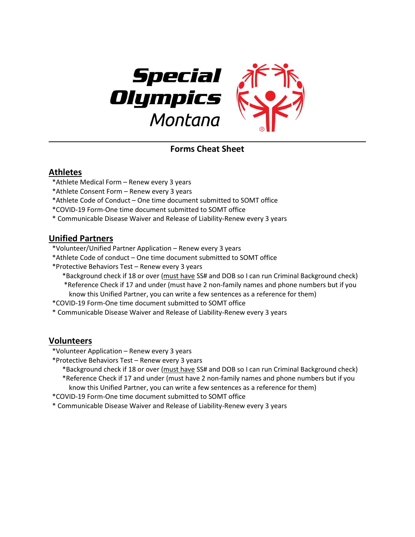

**Forms Cheat Sheet**

## **Athletes**

- \*Athlete Medical Form Renew every 3 years
- \*Athlete Consent Form Renew every 3 years
- \*Athlete Code of Conduct One time document submitted to SOMT office
- \*COVID-19 Form-One time document submitted to SOMT office
- \* Communicable Disease Waiver and Release of Liability-Renew every 3 years

## **Unified Partners**

- \*Volunteer/Unified Partner Application Renew every 3 years
- \*Athlete Code of conduct One time document submitted to SOMT office
- \*Protective Behaviors Test Renew every 3 years
	- \*Background check if 18 or over (must have SS# and DOB so I can run Criminal Background check) \*Reference Check if 17 and under (must have 2 non-family names and phone numbers but if you know this Unified Partner, you can write a few sentences as a reference for them)
- \*COVID-19 Form-One time document submitted to SOMT office
- \* Communicable Disease Waiver and Release of Liability-Renew every 3 years

## **Volunteers**

- \*Volunteer Application Renew every 3 years
- \*Protective Behaviors Test Renew every 3 years
	- \*Background check if 18 or over (must have SS# and DOB so I can run Criminal Background check) \*Reference Check if 17 and under (must have 2 non-family names and phone numbers but if you
	- know this Unified Partner, you can write a few sentences as a reference for them)
- \*COVID-19 Form-One time document submitted to SOMT office
- \* Communicable Disease Waiver and Release of Liability-Renew every 3 years